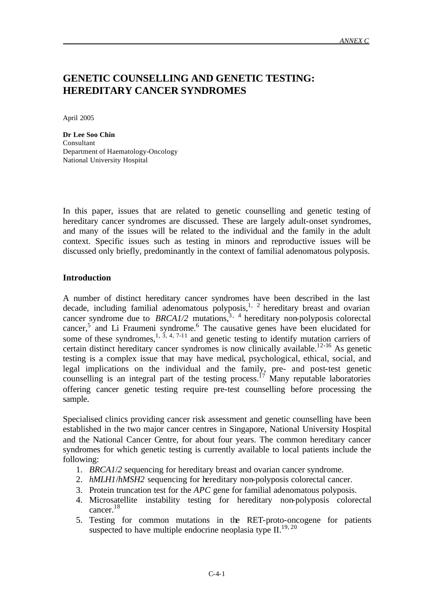## **GENETIC COUNSELLING AND GENETIC TESTING: HEREDITARY CANCER SYNDROMES**

April 2005

**Dr Lee Soo Chin** Consultant Department of Haematology-Oncology National University Hospital

In this paper, issues that are related to genetic counselling and genetic testing of hereditary cancer syndromes are discussed. These are largely adult-onset syndromes, and many of the issues will be related to the individual and the family in the adult context. Specific issues such as testing in minors and reproductive issues will be discussed only briefly, predominantly in the context of familial adenomatous polyposis.

### **Introduction**

A number of distinct hereditary cancer syndromes have been described in the last decade, including familial adenomatous polyposis,  $1/2$  hereditary breast and ovarian cancer syndrome due to *BRCA1/2* mutations,  $3, 4$  hereditary non-polyposis colorectal cancer,<sup>5</sup> and Li Fraumeni syndrome.<sup>6</sup> The causative genes have been elucidated for some of these syndromes,<sup>1, 3, 4, 7-11</sup> and genetic testing to identify mutation carriers of certain distinct hereditary cancer syndromes is now clinically available.<sup>12-16</sup> As genetic testing is a complex issue that may have medical, psychological, ethical, social, and legal implications on the individual and the family, pre- and post-test genetic counselling is an integral part of the testing process.<sup>17</sup> Many reputable laboratories offering cancer genetic testing require pre-test counselling before processing the sample.

Specialised clinics providing cancer risk assessment and genetic counselling have been established in the two major cancer centres in Singapore, National University Hospital and the National Cancer Centre, for about four years. The common hereditary cancer syndromes for which genetic testing is currently available to local patients include the following:

- 1. *BRCA1*/*2* sequencing for hereditary breast and ovarian cancer syndrome.
- 2. *hMLH1*/*hMSH2* sequencing for hereditary non-polyposis colorectal cancer.
- 3. Protein truncation test for the *APC* gene for familial adenomatous polyposis.
- 4. Microsatellite instability testing for hereditary non-polyposis colorectal cancer.<sup>18</sup>
- 5. Testing for common mutations in the RET-proto-oncogene for patients suspected to have multiple endocrine neoplasia type  $II^{19, 20}$ .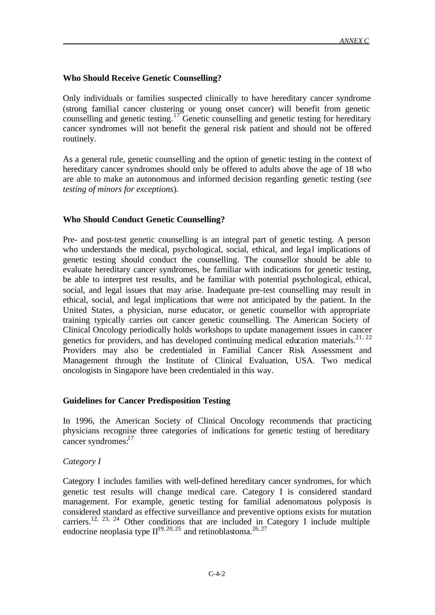### **Who Should Receive Genetic Counselling?**

Only individuals or families suspected clinically to have hereditary cancer syndrome (strong familial cancer clustering or young onset cancer) will benefit from genetic counselling and genetic testing.<sup>17</sup> Genetic counselling and genetic testing for hereditary cancer syndromes will not benefit the general risk patient and should not be offered routinely.

As a general rule, genetic counselling and the option of genetic testing in the context of hereditary cancer syndromes should only be offered to adults above the age of 18 who are able to make an autonomous and informed decision regarding genetic testing (*see testing of minors for exceptions*).

### **Who Should Conduct Genetic Counselling?**

Pre- and post-test genetic counselling is an integral part of genetic testing. A person who understands the medical, psychological, social, ethical, and legal implications of genetic testing should conduct the counselling. The counsellor should be able to evaluate hereditary cancer syndromes, be familiar with indications for genetic testing, be able to interpret test results, and be familiar with potential psychological, ethical, social, and legal issues that may arise. Inadequate pre-test counselling may result in ethical, social, and legal implications that were not anticipated by the patient. In the United States, a physician, nurse educator, or genetic counsellor with appropriate training typically carries out cancer genetic counselling. The American Society of Clinical Oncology periodically holds workshops to update management issues in cancer genetics for providers, and has developed continuing medical education materials.<sup>21, 22</sup> Providers may also be credentialed in Familial Cancer Risk Assessment and Management through the Institute of Clinical Evaluation, USA. Two medical oncologists in Singapore have been credentialed in this way.

### **Guidelines for Cancer Predisposition Testing**

In 1996, the American Society of Clinical Oncology recommends that practicing physicians recognise three categories of indications for genetic testing of hereditary cancer syndromes: $17$ 

### *Category I*

Category I includes families with well-defined hereditary cancer syndromes, for which genetic test results will change medical care. Category I is considered standard management. For example, genetic testing for familial adenomatous polyposis is considered standard as effective surveillance and preventive options exists for mutation carriers.<sup>12, 23, 24</sup> Other conditions that are included in Category I include multiple endocrine neoplasia type  $II^{19, 20, 25}$  and retinoblastoma.<sup>26, 27</sup>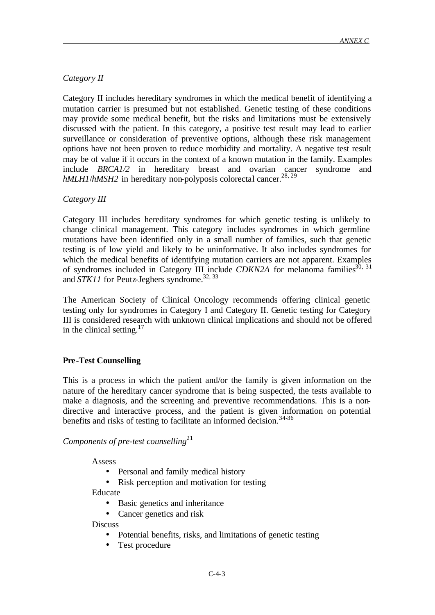## *Category II*

Category II includes hereditary syndromes in which the medical benefit of identifying a mutation carrier is presumed but not established. Genetic testing of these conditions may provide some medical benefit, but the risks and limitations must be extensively discussed with the patient. In this category, a positive test result may lead to earlier surveillance or consideration of preventive options, although these risk management options have not been proven to reduce morbidity and mortality. A negative test result may be of value if it occurs in the context of a known mutation in the family. Examples include *BRCA1/2* in hereditary breast and ovarian cancer syndrome and *hMLH1*/*hMSH2* in hereditary non-polyposis colorectal cancer.<sup>28, 29</sup>

### *Category III*

Category III includes hereditary syndromes for which genetic testing is unlikely to change clinical management. This category includes syndromes in which germline mutations have been identified only in a small number of families, such that genetic testing is of low yield and likely to be uninformative. It also includes syndromes for which the medical benefits of identifying mutation carriers are not apparent. Examples of syndromes included in Category III include *CDKN2A* for melanoma families<sup>30, 31</sup> and *STK11* for Peutz-Jeghers syndrome.<sup>32, 33</sup>

The American Society of Clinical Oncology recommends offering clinical genetic testing only for syndromes in Category I and Category II. Genetic testing for Category III is considered research with unknown clinical implications and should not be offered in the clinical setting. $17$ 

### **Pre-Test Counselling**

This is a process in which the patient and/or the family is given information on the nature of the hereditary cancer syndrome that is being suspected, the tests available to make a diagnosis, and the screening and preventive recommendations. This is a nondirective and interactive process, and the patient is given information on potential benefits and risks of testing to facilitate an informed decision.<sup>34-36</sup>

*Components of pre-test counselling*<sup>21</sup>

Assess

- Personal and family medical history
- Risk perception and motivation for testing

Educate

- Basic genetics and inheritance
- Cancer genetics and risk

**Discuss** 

- Potential benefits, risks, and limitations of genetic testing
- Test procedure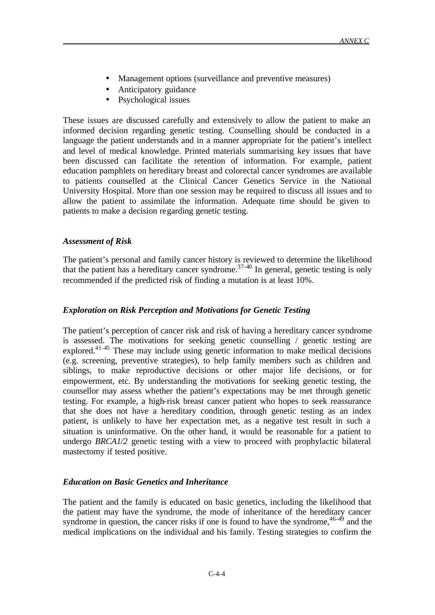- Management options (surveillance and preventive measures)
- Anticipatory guidance
- Psychological issues

These issues are discussed carefully and extensively to allow the patient to make an informed decision regarding genetic testing. Counselling should be conducted in a language the patient understands and in a manner appropriate for the patient's intellect and level of medical knowledge. Printed materials summarising key issues that have been discussed can facilitate the retention of information. For example, patient education pamphlets on hereditary breast and colorectal cancer syndromes are available to patients counselled at the Clinical Cancer Genetics Service in the National University Hospital. More than one session may be required to discuss all issues and to allow the patient to assimilate the information. Adequate time should be given to patients to make a decision regarding genetic testing.

### *Assessment of Risk*

The patient's personal and family cancer history is reviewed to determine the likelihood that the patient has a hereditary cancer syndrome.<sup>37-40</sup> In general, genetic testing is only recommended if the predicted risk of finding a mutation is at least 10%.

### *Exploration on Risk Perception and Motivations for Genetic Testing*

The patient's perception of cancer risk and risk of having a hereditary cancer syndrome is assessed. The motivations for seeking genetic counselling / genetic testing are explored.41-45 These may include using genetic information to make medical decisions (e.g. screening, preventive strategies), to help family members such as children and siblings, to make reproductive decisions or other major life decisions, or for empowerment, etc. By understanding the motivations for seeking genetic testing, the counsellor may assess whether the patient's expectations may be met through genetic testing. For example, a high-risk breast cancer patient who hopes to seek reassurance that she does not have a hereditary condition, through genetic testing as an index patient, is unlikely to have her expectation met, as a negative test result in such a situation is uninformative. On the other hand, it would be reasonable for a patient to undergo *BRCA1/2* genetic testing with a view to proceed with prophylactic bilateral mastectomy if tested positive.

### *Education on Basic Genetics and Inheritance*

The patient and the family is educated on basic genetics, including the likelihood that the patient may have the syndrome, the mode of inheritance of the hereditary cancer syndrome in question, the cancer risks if one is found to have the syndrome,  $46-49$  and the medical implications on the individual and his family. Testing strategies to confirm the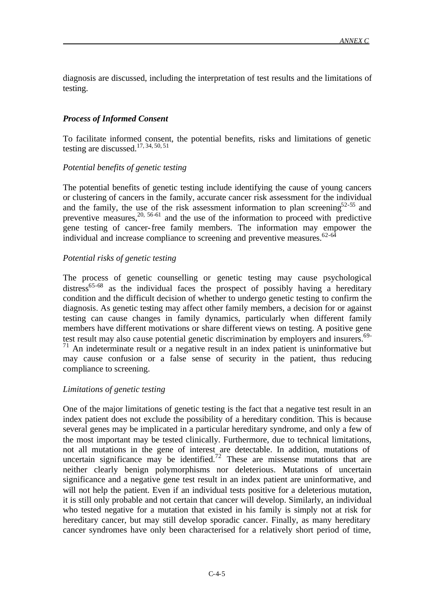diagnosis are discussed, including the interpretation of test results and the limitations of testing.

## *Process of Informed Consent*

To facilitate informed consent, the potential benefits, risks and limitations of genetic testing are discussed.17, 34, 50, 51

### *Potential benefits of genetic testing*

The potential benefits of genetic testing include identifying the cause of young cancers or clustering of cancers in the family, accurate cancer risk assessment for the individual and the family, the use of the risk assessment information to plan screening<sup>52-55</sup> and preventive measures, $20, 56-61$  and the use of the information to proceed with predictive gene testing of cancer-free family members. The information may empower the individual and increase compliance to screening and preventive measures. $62-64$ 

## *Potential risks of genetic testing*

The process of genetic counselling or genetic testing may cause psychological distress<sup>65-68</sup> as the individual faces the prospect of possibly having a hereditary condition and the difficult decision of whether to undergo genetic testing to confirm the diagnosis. As genetic testing may affect other family members, a decision for or against testing can cause changes in family dynamics, particularly when different family members have different motivations or share different views on testing. A positive gene test result may also cause potential genetic discrimination by employers and insurers.<sup>69-</sup>  $71$  An indeterminate result or a negative result in an index patient is uninformative but may cause confusion or a false sense of security in the patient, thus reducing compliance to screening.

### *Limitations of genetic testing*

One of the major limitations of genetic testing is the fact that a negative test result in an index patient does not exclude the possibility of a hereditary condition. This is because several genes may be implicated in a particular hereditary syndrome, and only a few of the most important may be tested clinically. Furthermore, due to technical limitations, not all mutations in the gene of interest are detectable. In addition, mutations of uncertain significance may be identified.<sup>72</sup> These are missense mutations that are neither clearly benign polymorphisms nor deleterious. Mutations of uncertain significance and a negative gene test result in an index patient are uninformative, and will not help the patient. Even if an individual tests positive for a deleterious mutation, it is still only probable and not certain that cancer will develop. Similarly, an individual who tested negative for a mutation that existed in his family is simply not at risk for hereditary cancer, but may still develop sporadic cancer. Finally, as many hereditary cancer syndromes have only been characterised for a relatively short period of time,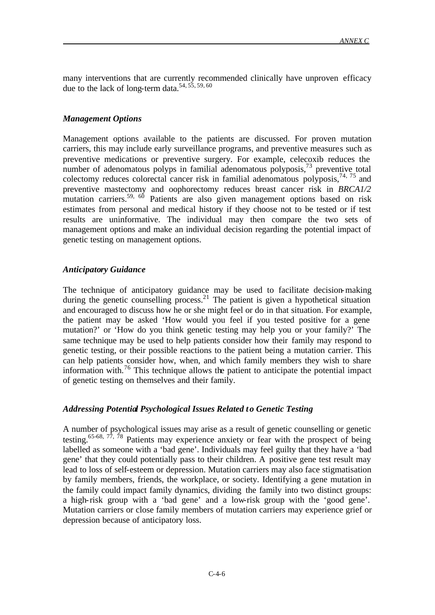many interventions that are currently recommended clinically have unproven efficacy due to the lack of long-term data.<sup>54, 55, 59, 60</sup>

#### *Management Options*

Management options available to the patients are discussed. For proven mutation carriers, this may include early surveillance programs, and preventive measures such as preventive medications or preventive surgery. For example, celecoxib reduces the number of adenomatous polyps in familial adenomatous polyposis,<sup>73</sup> preventive total colectomy reduces colorectal cancer risk in familial adenomatous polyposis,  $74, 75$  and preventive mastectomy and oophorectomy reduces breast cancer risk in *BRCA1/2* mutation carriers.<sup>59, 60</sup> Patients are also given management options based on risk estimates from personal and medical history if they choose not to be tested or if test results are uninformative. The individual may then compare the two sets of management options and make an individual decision regarding the potential impact of genetic testing on management options.

### *Anticipatory Guidance*

The technique of anticipatory guidance may be used to facilitate decision-making during the genetic counselling process.<sup>21</sup> The patient is given a hypothetical situation and encouraged to discuss how he or she might feel or do in that situation. For example, the patient may be asked 'How would you feel if you tested positive for a gene mutation?' or 'How do you think genetic testing may help you or your family?' The same technique may be used to help patients consider how their family may respond to genetic testing, or their possible reactions to the patient being a mutation carrier. This can help patients consider how, when, and which family members they wish to share information with.<sup>76</sup> This technique allows the patient to anticipate the potential impact of genetic testing on themselves and their family.

### *Addressing Potential Psychological Issues Related to Genetic Testing*

A number of psychological issues may arise as a result of genetic counselling or genetic testing.<sup>65-68, 77, 78</sup> Patients may experience anxiety or fear with the prospect of being labelled as someone with a 'bad gene'. Individuals may feel guilty that they have a 'bad gene' that they could potentially pass to their children. A positive gene test result may lead to loss of self-esteem or depression. Mutation carriers may also face stigmatisation by family members, friends, the workplace, or society. Identifying a gene mutation in the family could impact family dynamics, dividing the family into two distinct groups: a high-risk group with a 'bad gene' and a low-risk group with the 'good gene'. Mutation carriers or close family members of mutation carriers may experience grief or depression because of anticipatory loss.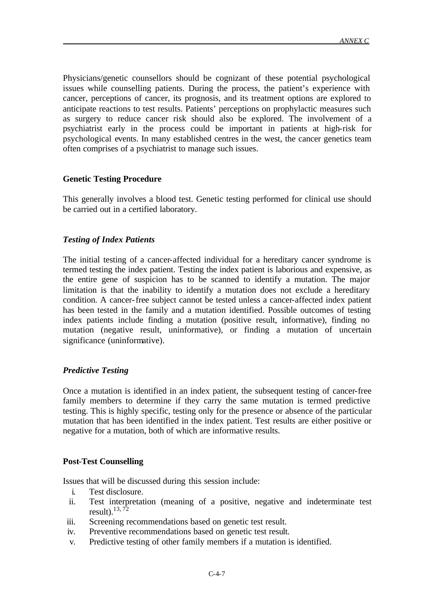Physicians/genetic counsellors should be cognizant of these potential psychological issues while counselling patients. During the process, the patient's experience with cancer, perceptions of cancer, its prognosis, and its treatment options are explored to anticipate reactions to test results. Patients' perceptions on prophylactic measures such as surgery to reduce cancer risk should also be explored. The involvement of a psychiatrist early in the process could be important in patients at high-risk for psychological events. In many established centres in the west, the cancer genetics team often comprises of a psychiatrist to manage such issues.

#### **Genetic Testing Procedure**

This generally involves a blood test. Genetic testing performed for clinical use should be carried out in a certified laboratory.

### *Testing of Index Patients*

The initial testing of a cancer-affected individual for a hereditary cancer syndrome is termed testing the index patient. Testing the index patient is laborious and expensive, as the entire gene of suspicion has to be scanned to identify a mutation. The major limitation is that the inability to identify a mutation does not exclude a hereditary condition. A cancer-free subject cannot be tested unless a cancer-affected index patient has been tested in the family and a mutation identified. Possible outcomes of testing index patients include finding a mutation (positive result, informative), finding no mutation (negative result, uninformative), or finding a mutation of uncertain significance (uninformative).

#### *Predictive Testing*

Once a mutation is identified in an index patient, the subsequent testing of cancer-free family members to determine if they carry the same mutation is termed predictive testing. This is highly specific, testing only for the presence or absence of the particular mutation that has been identified in the index patient. Test results are either positive or negative for a mutation, both of which are informative results.

#### **Post-Test Counselling**

Issues that will be discussed during this session include:

- i. Test disclosure.
- ii. Test interpretation (meaning of a positive, negative and indeterminate test result). $13, 72$
- iii. Screening recommendations based on genetic test result.
- iv. Preventive recommendations based on genetic test result.
- v. Predictive testing of other family members if a mutation is identified.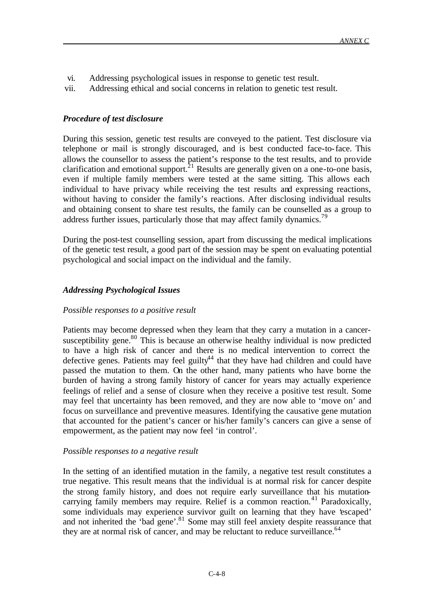- vi. Addressing psychological issues in response to genetic test result.
- vii. Addressing ethical and social concerns in relation to genetic test result.

### *Procedure of test disclosure*

During this session, genetic test results are conveyed to the patient. Test disclosure via telephone or mail is strongly discouraged, and is best conducted face-to-face. This allows the counsellor to assess the patient's response to the test results, and to provide clarification and emotional support. $2<sup>1</sup>$  Results are generally given on a one-to-one basis, even if multiple family members were tested at the same sitting. This allows each individual to have privacy while receiving the test results and expressing reactions, without having to consider the family's reactions. After disclosing individual results and obtaining consent to share test results, the family can be counselled as a group to address further issues, particularly those that may affect family dynamics.<sup>79</sup>

During the post-test counselling session, apart from discussing the medical implications of the genetic test result, a good part of the session may be spent on evaluating potential psychological and social impact on the individual and the family.

## *Addressing Psychological Issues*

### *Possible responses to a positive result*

Patients may become depressed when they learn that they carry a mutation in a cancersusceptibility gene. $80$  This is because an otherwise healthy individual is now predicted to have a high risk of cancer and there is no medical intervention to correct the defective genes. Patients may feel guilty<sup>44</sup> that they have had children and could have passed the mutation to them. On the other hand, many patients who have borne the burden of having a strong family history of cancer for years may actually experience feelings of relief and a sense of closure when they receive a positive test result. Some may feel that uncertainty has been removed, and they are now able to 'move on' and focus on surveillance and preventive measures. Identifying the causative gene mutation that accounted for the patient's cancer or his/her family's cancers can give a sense of empowerment, as the patient may now feel 'in control'.

#### *Possible responses to a negative result*

In the setting of an identified mutation in the family, a negative test result constitutes a true negative. This result means that the individual is at normal risk for cancer despite the strong family history, and does not require early surveillance that his mutationcarrying family members may require. Relief is a common reaction.<sup>41</sup> Paradoxically, some individuals may experience survivor guilt on learning that they have 'escaped' and not inherited the 'bad gene'.<sup>81</sup> Some may still feel anxiety despite reassurance that they are at normal risk of cancer, and may be reluctant to reduce surveillance.  $64$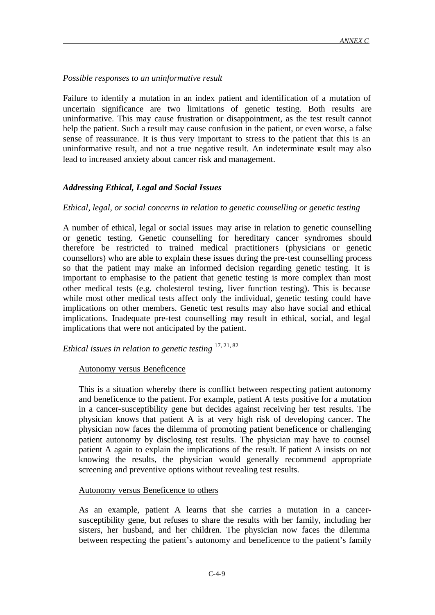## *Possible responses to an uninformative result*

Failure to identify a mutation in an index patient and identification of a mutation of uncertain significance are two limitations of genetic testing. Both results are uninformative. This may cause frustration or disappointment, as the test result cannot help the patient. Such a result may cause confusion in the patient, or even worse, a false sense of reassurance. It is thus very important to stress to the patient that this is an uninformative result, and not a true negative result. An indeterminate result may also lead to increased anxiety about cancer risk and management.

## *Addressing Ethical, Legal and Social Issues*

### *Ethical, legal, or social concerns in relation to genetic counselling or genetic testing*

A number of ethical, legal or social issues may arise in relation to genetic counselling or genetic testing. Genetic counselling for hereditary cancer syndromes should therefore be restricted to trained medical practitioners (physicians or genetic counsellors) who are able to explain these issues during the pre-test counselling process so that the patient may make an informed decision regarding genetic testing. It is important to emphasise to the patient that genetic testing is more complex than most other medical tests (e.g. cholesterol testing, liver function testing). This is because while most other medical tests affect only the individual, genetic testing could have implications on other members. Genetic test results may also have social and ethical implications. Inadequate pre-test counselling may result in ethical, social, and legal implications that were not anticipated by the patient.

# *Ethical issues in relation to genetic testing* 17, 21, 82

#### Autonomy versus Beneficence

This is a situation whereby there is conflict between respecting patient autonomy and beneficence to the patient. For example, patient A tests positive for a mutation in a cancer-susceptibility gene but decides against receiving her test results. The physician knows that patient A is at very high risk of developing cancer. The physician now faces the dilemma of promoting patient beneficence or challenging patient autonomy by disclosing test results. The physician may have to counsel patient A again to explain the implications of the result. If patient A insists on not knowing the results, the physician would generally recommend appropriate screening and preventive options without revealing test results.

#### Autonomy versus Beneficence to others

As an example, patient A learns that she carries a mutation in a cancersusceptibility gene, but refuses to share the results with her family, including her sisters, her husband, and her children. The physician now faces the dilemma between respecting the patient's autonomy and beneficence to the patient's family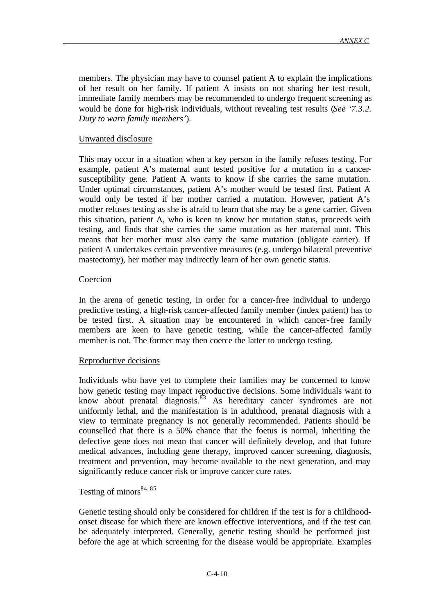members. The physician may have to counsel patient A to explain the implications of her result on her family. If patient A insists on not sharing her test result, immediate family members may be recommended to undergo frequent screening as would be done for high-risk individuals, without revealing test results (*See '7.3.2. Duty to warn family members'*).

## Unwanted disclosure

This may occur in a situation when a key person in the family refuses testing. For example, patient A's maternal aunt tested positive for a mutation in a cancersusceptibility gene. Patient A wants to know if she carries the same mutation. Under optimal circumstances, patient A's mother would be tested first. Patient A would only be tested if her mother carried a mutation. However, patient A's mother refuses testing as she is afraid to learn that she may be a gene carrier. Given this situation, patient A, who is keen to know her mutation status, proceeds with testing, and finds that she carries the same mutation as her maternal aunt. This means that her mother must also carry the same mutation (obligate carrier). If patient A undertakes certain preventive measures (e.g. undergo bilateral preventive mastectomy), her mother may indirectly learn of her own genetic status.

## **Coercion**

In the arena of genetic testing, in order for a cancer-free individual to undergo predictive testing, a high-risk cancer-affected family member (index patient) has to be tested first. A situation may be encountered in which cancer-free family members are keen to have genetic testing, while the cancer-affected family member is not. The former may then coerce the latter to undergo testing.

### Reproductive decisions

Individuals who have yet to complete their families may be concerned to know how genetic testing may impact reproduc tive decisions. Some individuals want to know about prenatal diagnosis.<sup>83</sup> As hereditary cancer syndromes are not uniformly lethal, and the manifestation is in adulthood, prenatal diagnosis with a view to terminate pregnancy is not generally recommended. Patients should be counselled that there is a 50% chance that the foetus is normal, inheriting the defective gene does not mean that cancer will definitely develop, and that future medical advances, including gene therapy, improved cancer screening, diagnosis, treatment and prevention, may become available to the next generation, and may significantly reduce cancer risk or improve cancer cure rates.

## Testing of minors  $84, 85$

Genetic testing should only be considered for children if the test is for a childhoodonset disease for which there are known effective interventions, and if the test can be adequately interpreted. Generally, genetic testing should be performed just before the age at which screening for the disease would be appropriate. Examples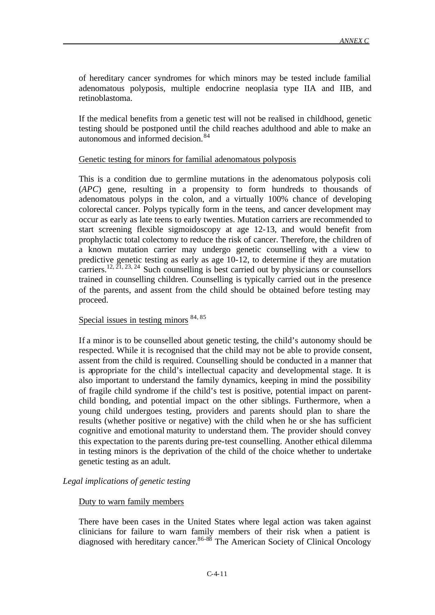of hereditary cancer syndromes for which minors may be tested include familial adenomatous polyposis, multiple endocrine neoplasia type IIA and IIB, and retinoblastoma.

If the medical benefits from a genetic test will not be realised in childhood, genetic testing should be postponed until the child reaches adulthood and able to make an autonomous and informed decision.<sup>84</sup>

#### Genetic testing for minors for familial adenomatous polyposis

This is a condition due to germline mutations in the adenomatous polyposis coli (*APC*) gene, resulting in a propensity to form hundreds to thousands of adenomatous polyps in the colon, and a virtually 100% chance of developing colorectal cancer. Polyps typically form in the teens, and cancer development may occur as early as late teens to early twenties. Mutation carriers are recommended to start screening flexible sigmoidoscopy at age 12-13, and would benefit from prophylactic total colectomy to reduce the risk of cancer. Therefore, the children of a known mutation carrier may undergo genetic counselling with a view to predictive genetic testing as early as age 10-12, to determine if they are mutation carriers.<sup>12,  $21$ ,  $23$ ,  $24$  Such counselling is best carried out by physicians or counsellors</sup> trained in counselling children. Counselling is typically carried out in the presence of the parents, and assent from the child should be obtained before testing may proceed.

## Special issues in testing minors  $84,85$

If a minor is to be counselled about genetic testing, the child's autonomy should be respected. While it is recognised that the child may not be able to provide consent, assent from the child is required. Counselling should be conducted in a manner that is appropriate for the child's intellectual capacity and developmental stage. It is also important to understand the family dynamics, keeping in mind the possibility of fragile child syndrome if the child's test is positive, potential impact on parentchild bonding, and potential impact on the other siblings. Furthermore, when a young child undergoes testing, providers and parents should plan to share the results (whether positive or negative) with the child when he or she has sufficient cognitive and emotional maturity to understand them. The provider should convey this expectation to the parents during pre-test counselling. Another ethical dilemma in testing minors is the deprivation of the child of the choice whether to undertake genetic testing as an adult.

### *Legal implications of genetic testing*

### Duty to warn family members

There have been cases in the United States where legal action was taken against clinicians for failure to warn family members of their risk when a patient is diagnosed with hereditary cancer.<sup>86-88</sup> The American Society of Clinical Oncology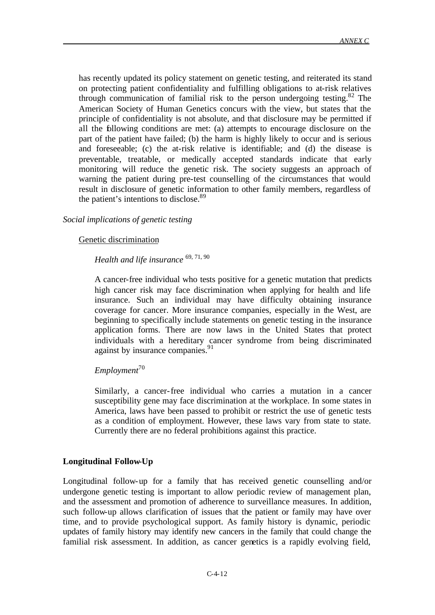has recently updated its policy statement on genetic testing, and reiterated its stand on protecting patient confidentiality and fulfilling obligations to at-risk relatives through communication of familial risk to the person undergoing testing.<sup>82</sup> The American Society of Human Genetics concurs with the view, but states that the principle of confidentiality is not absolute, and that disclosure may be permitted if all the following conditions are met: (a) attempts to encourage disclosure on the part of the patient have failed; (b) the harm is highly likely to occur and is serious and foreseeable; (c) the at-risk relative is identifiable; and (d) the disease is preventable, treatable, or medically accepted standards indicate that early monitoring will reduce the genetic risk. The society suggests an approach of warning the patient during pre-test counselling of the circumstances that would result in disclosure of genetic information to other family members, regardless of the patient's intentions to disclose.<sup>89</sup>

#### *Social implications of genetic testing*

#### Genetic discrimination

# *Health and life insurance* 69, 71, 90

A cancer-free individual who tests positive for a genetic mutation that predicts high cancer risk may face discrimination when applying for health and life insurance. Such an individual may have difficulty obtaining insurance coverage for cancer. More insurance companies, especially in the West, are beginning to specifically include statements on genetic testing in the insurance application forms. There are now laws in the United States that protect individuals with a hereditary cancer syndrome from being discriminated against by insurance companies. $91$ 

### *Employment*<sup>70</sup>

Similarly, a cancer-free individual who carries a mutation in a cancer susceptibility gene may face discrimination at the workplace. In some states in America, laws have been passed to prohibit or restrict the use of genetic tests as a condition of employment. However, these laws vary from state to state. Currently there are no federal prohibitions against this practice.

### **Longitudinal Follow-Up**

Longitudinal follow-up for a family that has received genetic counselling and/or undergone genetic testing is important to allow periodic review of management plan, and the assessment and promotion of adherence to surveillance measures. In addition, such follow-up allows clarification of issues that the patient or family may have over time, and to provide psychological support. As family history is dynamic, periodic updates of family history may identify new cancers in the family that could change the familial risk assessment. In addition, as cancer genetics is a rapidly evolving field,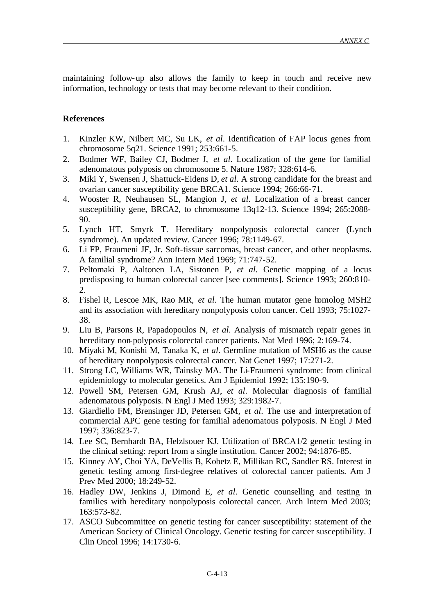maintaining follow-up also allows the family to keep in touch and receive new information, technology or tests that may become relevant to their condition.

#### **References**

- 1. Kinzler KW, Nilbert MC, Su LK, *et al*. Identification of FAP locus genes from chromosome 5q21. Science 1991; 253:661-5.
- 2. Bodmer WF, Bailey CJ, Bodmer J, *et al*. Localization of the gene for familial adenomatous polyposis on chromosome 5. Nature 1987; 328:614-6.
- 3. Miki Y, Swensen J, Shattuck-Eidens D, *et al*. A strong candidate for the breast and ovarian cancer susceptibility gene BRCA1. Science 1994; 266:66-71.
- 4. Wooster R, Neuhausen SL, Mangion J, *et al*. Localization of a breast cancer susceptibility gene, BRCA2, to chromosome 13q12-13. Science 1994; 265:2088- 90.
- 5. Lynch HT, Smyrk T. Hereditary nonpolyposis colorectal cancer (Lynch syndrome). An updated review. Cancer 1996; 78:1149-67.
- 6. Li FP, Fraumeni JF, Jr. Soft-tissue sarcomas, breast cancer, and other neoplasms. A familial syndrome? Ann Intern Med 1969; 71:747-52.
- 7. Peltomaki P, Aaltonen LA, Sistonen P, *et al*. Genetic mapping of a locus predisposing to human colorectal cancer [see comments]. Science 1993; 260:810- 2.
- 8. Fishel R, Lescoe MK, Rao MR, *et al*. The human mutator gene homolog MSH2 and its association with hereditary nonpolyposis colon cancer. Cell 1993; 75:1027- 38.
- 9. Liu B, Parsons R, Papadopoulos N, *et al*. Analysis of mismatch repair genes in hereditary non-polyposis colorectal cancer patients. Nat Med 1996; 2:169-74.
- 10. Miyaki M, Konishi M, Tanaka K, *et al*. Germline mutation of MSH6 as the cause of hereditary nonpolyposis colorectal cancer. Nat Genet 1997; 17:271-2.
- 11. Strong LC, Williams WR, Tainsky MA. The Li-Fraumeni syndrome: from clinical epidemiology to molecular genetics. Am J Epidemiol 1992; 135:190-9.
- 12. Powell SM, Petersen GM, Krush AJ, *et al*. Molecular diagnosis of familial adenomatous polyposis. N Engl J Med 1993; 329:1982-7.
- 13. Giardiello FM, Brensinger JD, Petersen GM, *et al*. The use and interpretation of commercial APC gene testing for familial adenomatous polyposis. N Engl J Med 1997; 336:823-7.
- 14. Lee SC, Bernhardt BA, Helzlsouer KJ. Utilization of BRCA1/2 genetic testing in the clinical setting: report from a single institution. Cancer 2002; 94:1876-85.
- 15. Kinney AY, Choi YA, DeVellis B, Kobetz E, Millikan RC, Sandler RS. Interest in genetic testing among first-degree relatives of colorectal cancer patients. Am J Prev Med 2000; 18:249-52.
- 16. Hadley DW, Jenkins J, Dimond E, *et al*. Genetic counselling and testing in families with hereditary nonpolyposis colorectal cancer. Arch Intern Med 2003; 163:573-82.
- 17. ASCO Subcommittee on genetic testing for cancer susceptibility: statement of the American Society of Clinical Oncology. Genetic testing for cancer susceptibility. J Clin Oncol 1996; 14:1730-6.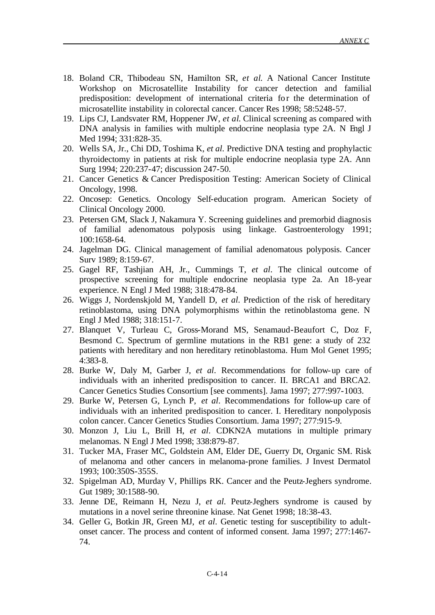- 18. Boland CR, Thibodeau SN, Hamilton SR, *et al*. A National Cancer Institute Workshop on Microsatellite Instability for cancer detection and familial predisposition: development of international criteria for the determination of microsatellite instability in colorectal cancer. Cancer Res 1998; 58:5248-57.
- 19. Lips CJ, Landsvater RM, Hoppener JW, *et al*. Clinical screening as compared with DNA analysis in families with multiple endocrine neoplasia type 2A. N Engl J Med 1994; 331:828-35.
- 20. Wells SA, Jr., Chi DD, Toshima K, *et al*. Predictive DNA testing and prophylactic thyroidectomy in patients at risk for multiple endocrine neoplasia type 2A. Ann Surg 1994; 220:237-47; discussion 247-50.
- 21. Cancer Genetics & Cancer Predisposition Testing: American Society of Clinical Oncology, 1998.
- 22. Oncosep: Genetics. Oncology Self-education program. American Society of Clinical Oncology 2000.
- 23. Petersen GM, Slack J, Nakamura Y. Screening guidelines and premorbid diagnosis of familial adenomatous polyposis using linkage. Gastroenterology 1991; 100:1658-64.
- 24. Jagelman DG. Clinical management of familial adenomatous polyposis. Cancer Surv 1989; 8:159-67.
- 25. Gagel RF, Tashjian AH, Jr., Cummings T, *et al*. The clinical outcome of prospective screening for multiple endocrine neoplasia type 2a. An 18-year experience. N Engl J Med 1988; 318:478-84.
- 26. Wiggs J, Nordenskjold M, Yandell D, *et al*. Prediction of the risk of hereditary retinoblastoma, using DNA polymorphisms within the retinoblastoma gene. N Engl J Med 1988; 318:151-7.
- 27. Blanquet V, Turleau C, Gross-Morand MS, Senamaud-Beaufort C, Doz F, Besmond C. Spectrum of germline mutations in the RB1 gene: a study of 232 patients with hereditary and non hereditary retinoblastoma. Hum Mol Genet 1995; 4:383-8.
- 28. Burke W, Daly M, Garber J, *et al*. Recommendations for follow-up care of individuals with an inherited predisposition to cancer. II. BRCA1 and BRCA2. Cancer Genetics Studies Consortium [see comments]. Jama 1997; 277:997-1003.
- 29. Burke W, Petersen G, Lynch P, *et al*. Recommendations for follow-up care of individuals with an inherited predisposition to cancer. I. Hereditary nonpolyposis colon cancer. Cancer Genetics Studies Consortium. Jama 1997; 277:915-9.
- 30. Monzon J, Liu L, Brill H, *et al*. CDKN2A mutations in multiple primary melanomas. N Engl J Med 1998; 338:879-87.
- 31. Tucker MA, Fraser MC, Goldstein AM, Elder DE, Guerry Dt, Organic SM. Risk of melanoma and other cancers in melanoma-prone families. J Invest Dermatol 1993; 100:350S-355S.
- 32. Spigelman AD, Murday V, Phillips RK. Cancer and the Peutz-Jeghers syndrome. Gut 1989; 30:1588-90.
- 33. Jenne DE, Reimann H, Nezu J, *et al*. Peutz-Jeghers syndrome is caused by mutations in a novel serine threonine kinase. Nat Genet 1998; 18:38-43.
- 34. Geller G, Botkin JR, Green MJ, *et al*. Genetic testing for susceptibility to adultonset cancer. The process and content of informed consent. Jama 1997; 277:1467- 74.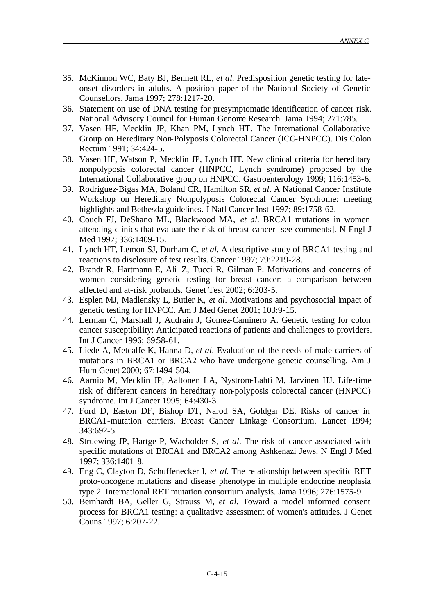- 35. McKinnon WC, Baty BJ, Bennett RL, *et al*. Predisposition genetic testing for lateonset disorders in adults. A position paper of the National Society of Genetic Counsellors. Jama 1997; 278:1217-20.
- 36. Statement on use of DNA testing for presymptomatic identification of cancer risk. National Advisory Council for Human Genome Research. Jama 1994; 271:785.
- 37. Vasen HF, Mecklin JP, Khan PM, Lynch HT. The International Collaborative Group on Hereditary Non-Polyposis Colorectal Cancer (ICG-HNPCC). Dis Colon Rectum 1991; 34:424-5.
- 38. Vasen HF, Watson P, Mecklin JP, Lynch HT. New clinical criteria for hereditary nonpolyposis colorectal cancer (HNPCC, Lynch syndrome) proposed by the International Collaborative group on HNPCC. Gastroenterology 1999; 116:1453-6.
- 39. Rodriguez-Bigas MA, Boland CR, Hamilton SR, *et al*. A National Cancer Institute Workshop on Hereditary Nonpolyposis Colorectal Cancer Syndrome: meeting highlights and Bethesda guidelines. J Natl Cancer Inst 1997; 89:1758-62.
- 40. Couch FJ, DeShano ML, Blackwood MA, *et al*. BRCA1 mutations in women attending clinics that evaluate the risk of breast cancer [see comments]. N Engl J Med 1997: 336:1409-15.
- 41. Lynch HT, Lemon SJ, Durham C, *et al*. A descriptive study of BRCA1 testing and reactions to disclosure of test results. Cancer 1997; 79:2219-28.
- 42. Brandt R, Hartmann E, Ali Z, Tucci R, Gilman P. Motivations and concerns of women considering genetic testing for breast cancer: a comparison between affected and at-risk probands. Genet Test 2002; 6:203-5.
- 43. Esplen MJ, Madlensky L, Butler K, *et al*. Motivations and psychosocial impact of genetic testing for HNPCC. Am J Med Genet 2001; 103:9-15.
- 44. Lerman C, Marshall J, Audrain J, Gomez-Caminero A. Genetic testing for colon cancer susceptibility: Anticipated reactions of patients and challenges to providers. Int J Cancer 1996; 69:58-61.
- 45. Liede A, Metcalfe K, Hanna D, *et al*. Evaluation of the needs of male carriers of mutations in BRCA1 or BRCA2 who have undergone genetic counselling. Am J Hum Genet 2000; 67:1494-504.
- 46. Aarnio M, Mecklin JP, Aaltonen LA, Nystrom-Lahti M, Jarvinen HJ. Life-time risk of different cancers in hereditary non-polyposis colorectal cancer (HNPCC) syndrome. Int J Cancer 1995; 64:430-3.
- 47. Ford D, Easton DF, Bishop DT, Narod SA, Goldgar DE. Risks of cancer in BRCA1-mutation carriers. Breast Cancer Linkage Consortium. Lancet 1994; 343:692-5.
- 48. Struewing JP, Hartge P, Wacholder S, *et al*. The risk of cancer associated with specific mutations of BRCA1 and BRCA2 among Ashkenazi Jews. N Engl J Med 1997; 336:1401-8.
- 49. Eng C, Clayton D, Schuffenecker I, *et al*. The relationship between specific RET proto-oncogene mutations and disease phenotype in multiple endocrine neoplasia type 2. International RET mutation consortium analysis. Jama 1996; 276:1575-9.
- 50. Bernhardt BA, Geller G, Strauss M, *et al*. Toward a model informed consent process for BRCA1 testing: a qualitative assessment of women's attitudes. J Genet Couns 1997; 6:207-22.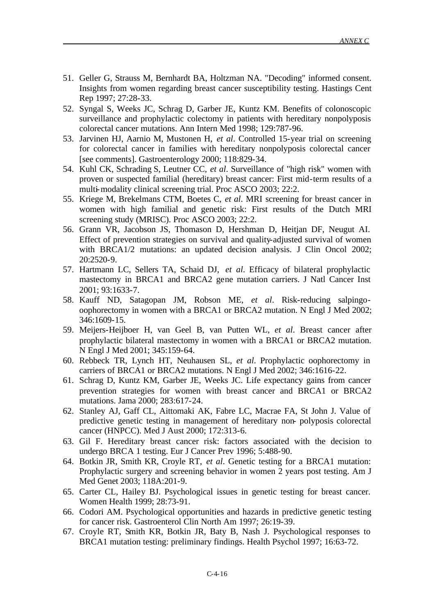- 51. Geller G, Strauss M, Bernhardt BA, Holtzman NA. "Decoding" informed consent. Insights from women regarding breast cancer susceptibility testing. Hastings Cent Rep 1997; 27:28-33.
- 52. Syngal S, Weeks JC, Schrag D, Garber JE, Kuntz KM. Benefits of colonoscopic surveillance and prophylactic colectomy in patients with hereditary nonpolyposis colorectal cancer mutations. Ann Intern Med 1998; 129:787-96.
- 53. Jarvinen HJ, Aarnio M, Mustonen H, *et al*. Controlled 15-year trial on screening for colorectal cancer in families with hereditary nonpolyposis colorectal cancer [see comments]. Gastroenterology 2000; 118:829-34.
- 54. Kuhl CK, Schrading S, Leutner CC, *et al*. Surveillance of "high risk" women with proven or suspected familial (hereditary) breast cancer: First mid-term results of a multi-modality clinical screening trial. Proc ASCO 2003; 22:2.
- 55. Kriege M, Brekelmans CTM, Boetes C, *et al*. MRI screening for breast cancer in women with high familial and genetic risk: First results of the Dutch MRI screening study (MRISC). Proc ASCO 2003; 22:2.
- 56. Grann VR, Jacobson JS, Thomason D, Hershman D, Heitjan DF, Neugut AI. Effect of prevention strategies on survival and quality-adjusted survival of women with BRCA1/2 mutations: an updated decision analysis. J Clin Oncol 2002; 20:2520-9.
- 57. Hartmann LC, Sellers TA, Schaid DJ, *et al*. Efficacy of bilateral prophylactic mastectomy in BRCA1 and BRCA2 gene mutation carriers. J Natl Cancer Inst 2001; 93:1633-7.
- 58. Kauff ND, Satagopan JM, Robson ME, *et al*. Risk-reducing salpingooophorectomy in women with a BRCA1 or BRCA2 mutation. N Engl J Med 2002; 346:1609-15.
- 59. Meijers-Heijboer H, van Geel B, van Putten WL, *et al*. Breast cancer after prophylactic bilateral mastectomy in women with a BRCA1 or BRCA2 mutation. N Engl J Med 2001; 345:159-64.
- 60. Rebbeck TR, Lynch HT, Neuhausen SL, *et al*. Prophylactic oophorectomy in carriers of BRCA1 or BRCA2 mutations. N Engl J Med 2002; 346:1616-22.
- 61. Schrag D, Kuntz KM, Garber JE, Weeks JC. Life expectancy gains from cancer prevention strategies for women with breast cancer and BRCA1 or BRCA2 mutations. Jama 2000; 283:617-24.
- 62. Stanley AJ, Gaff CL, Aittomaki AK, Fabre LC, Macrae FA, St John J. Value of predictive genetic testing in management of hereditary non- polyposis colorectal cancer (HNPCC). Med J Aust 2000; 172:313-6.
- 63. Gil F. Hereditary breast cancer risk: factors associated with the decision to undergo BRCA 1 testing. Eur J Cancer Prev 1996; 5:488-90.
- 64. Botkin JR, Smith KR, Croyle RT, *et al*. Genetic testing for a BRCA1 mutation: Prophylactic surgery and screening behavior in women 2 years post testing. Am J Med Genet 2003; 118A:201-9.
- 65. Carter CL, Hailey BJ. Psychological issues in genetic testing for breast cancer. Women Health 1999; 28:73-91.
- 66. Codori AM. Psychological opportunities and hazards in predictive genetic testing for cancer risk. Gastroenterol Clin North Am 1997; 26:19-39.
- 67. Croyle RT, Smith KR, Botkin JR, Baty B, Nash J. Psychological responses to BRCA1 mutation testing: preliminary findings. Health Psychol 1997; 16:63-72.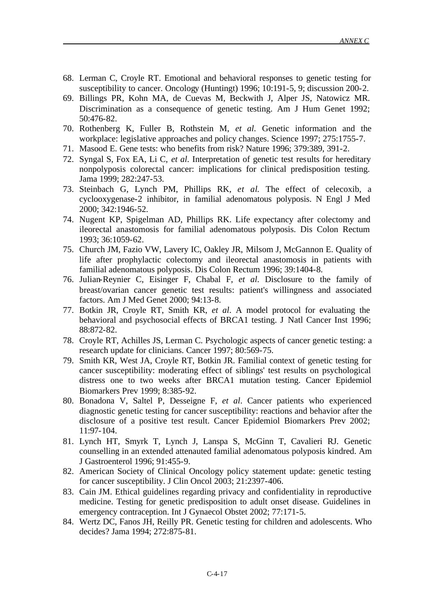- 68. Lerman C, Croyle RT. Emotional and behavioral responses to genetic testing for susceptibility to cancer. Oncology (Huntingt) 1996; 10:191-5, 9; discussion 200-2.
- 69. Billings PR, Kohn MA, de Cuevas M, Beckwith J, Alper JS, Natowicz MR. Discrimination as a consequence of genetic testing. Am J Hum Genet 1992; 50:476-82.
- 70. Rothenberg K, Fuller B, Rothstein M, *et al*. Genetic information and the workplace: legislative approaches and policy changes. Science 1997; 275:1755-7.
- 71. Masood E. Gene tests: who benefits from risk? Nature 1996; 379:389, 391-2.
- 72. Syngal S, Fox EA, Li C, *et al*. Interpretation of genetic test results for hereditary nonpolyposis colorectal cancer: implications for clinical predisposition testing. Jama 1999; 282:247-53.
- 73. Steinbach G, Lynch PM, Phillips RK, *et al*. The effect of celecoxib, a cyclooxygenase-2 inhibitor, in familial adenomatous polyposis. N Engl J Med 2000; 342:1946-52.
- 74. Nugent KP, Spigelman AD, Phillips RK. Life expectancy after colectomy and ileorectal anastomosis for familial adenomatous polyposis. Dis Colon Rectum 1993; 36:1059-62.
- 75. Church JM, Fazio VW, Lavery IC, Oakley JR, Milsom J, McGannon E. Quality of life after prophylactic colectomy and ileorectal anastomosis in patients with familial adenomatous polyposis. Dis Colon Rectum 1996; 39:1404-8.
- 76. Julian-Reynier C, Eisinger F, Chabal F, *et al*. Disclosure to the family of breast/ovarian cancer genetic test results: patient's willingness and associated factors. Am J Med Genet 2000; 94:13-8.
- 77. Botkin JR, Croyle RT, Smith KR, *et al*. A model protocol for evaluating the behavioral and psychosocial effects of BRCA1 testing. J Natl Cancer Inst 1996; 88:872-82.
- 78. Croyle RT, Achilles JS, Lerman C. Psychologic aspects of cancer genetic testing: a research update for clinicians. Cancer 1997; 80:569-75.
- 79. Smith KR, West JA, Croyle RT, Botkin JR. Familial context of genetic testing for cancer susceptibility: moderating effect of siblings' test results on psychological distress one to two weeks after BRCA1 mutation testing. Cancer Epidemiol Biomarkers Prev 1999; 8:385-92.
- 80. Bonadona V, Saltel P, Desseigne F, *et al*. Cancer patients who experienced diagnostic genetic testing for cancer susceptibility: reactions and behavior after the disclosure of a positive test result. Cancer Epidemiol Biomarkers Prev 2002; 11:97-104.
- 81. Lynch HT, Smyrk T, Lynch J, Lanspa S, McGinn T, Cavalieri RJ. Genetic counselling in an extended attenauted familial adenomatous polyposis kindred. Am J Gastroenterol 1996; 91:455-9.
- 82. American Society of Clinical Oncology policy statement update: genetic testing for cancer susceptibility. J Clin Oncol 2003; 21:2397-406.
- 83. Cain JM. Ethical guidelines regarding privacy and confidentiality in reproductive medicine. Testing for genetic predisposition to adult onset disease. Guidelines in emergency contraception. Int J Gynaecol Obstet 2002; 77:171-5.
- 84. Wertz DC, Fanos JH, Reilly PR. Genetic testing for children and adolescents. Who decides? Jama 1994; 272:875-81.